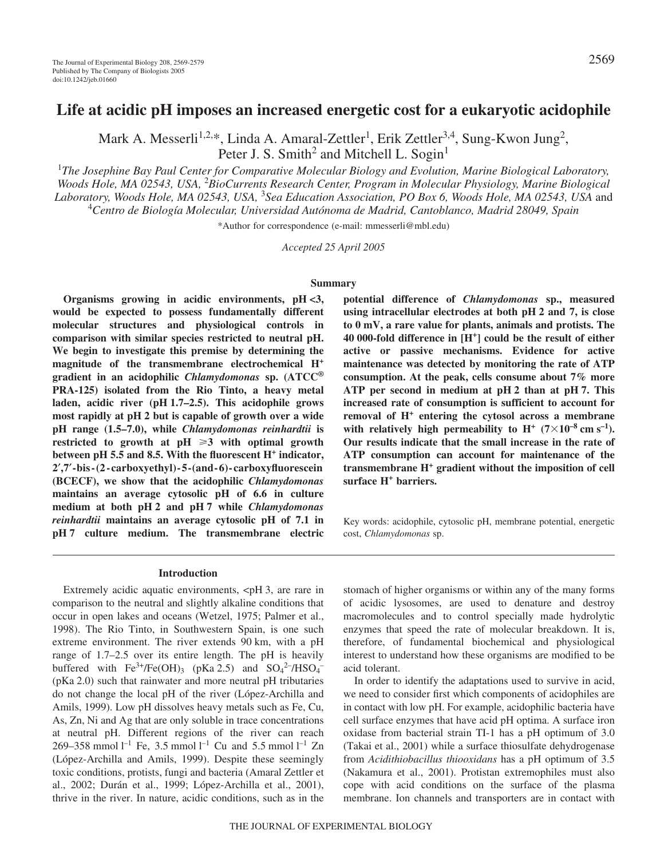Mark A. Messerli<sup>1,2, $\ast$ </sup>, Linda A. Amaral-Zettler<sup>1</sup>, Erik Zettler<sup>3,4</sup>, Sung-Kwon Jung<sup>2</sup>, Peter J. S. Smith<sup>2</sup> and Mitchell L. Sogin<sup>1</sup>

<sup>1</sup>The Josephine Bay Paul Center for Comparative Molecular Biology and Evolution, Marine Biological Laboratory, *Woods Hole, MA 02543, USA,* <sup>2</sup> *BioCurrents Research Center, Program in Molecular Physiology, Marine Biological Laboratory, Woods Hole, MA 02543, USA,* <sup>3</sup> *Sea Education Association, PO Box 6, Woods Hole, MA 02543, USA* and 4 *Centro de Biología Molecular, Universidad Autónoma de Madrid, Cantoblanco, Madrid 28049, Spain*

\*Author for correspondence (e-mail: mmesserli@mbl.edu)

*Accepted 25 April 2005*

#### **Summary**

**Organisms growing in acidic environments, pH·<3, would be expected to possess fundamentally different molecular structures and physiological controls in comparison with similar species restricted to neutral pH. We begin to investigate this premise by determining the magnitude of the transmembrane electrochemical H+ gradient in an acidophilic** *Chlamydomonas* **sp. (ATCC® PRA-125) isolated from the Rio Tinto, a heavy metal** laden, acidic river (pH 1.7–2.5). This acidophile grows most rapidly at pH 2 but is capable of growth over a wide **pH range (1.5–7.0), while** *Chlamydomonas reinhardtii* **is restricted to growth at pH**  $\geq 3$  with optimal growth **between pH·5.5 and 8.5. With the fluorescent H<sup>+</sup> indicator, 2**′**,7**′**-bis-(2-carboxyethyl)-5-(and-6)-carboxyfluorescein (BCECF), we show that the acidophilic** *Chlamydomonas* **maintains an average cytosolic pH of 6.6 in culture medium at both pH·2 and pH·7 while** *Chlamydomonas reinhardtii* **maintains an average cytosolic pH of 7.1 in** pH<sub>7</sub> culture medium. The transmembrane electric

#### **Introduction**

Extremely acidic aquatic environments,  $\langle pH\ 3,$  are rare in comparison to the neutral and slightly alkaline conditions that occur in open lakes and oceans (Wetzel, 1975; Palmer et al., 1998). The Rio Tinto, in Southwestern Spain, is one such extreme environment. The river extends 90 km, with a pH range of 1.7–2.5 over its entire length. The pH is heavily buffered with  $\text{Fe}^{3+}/\text{Fe}(\text{OH})_3$  (pKa 2.5) and  $\text{SO}_4^{2-}/\text{HSO}_4^ (pKa 2.0)$  such that rainwater and more neutral pH tributaries do not change the local pH of the river (López-Archilla and Amils, 1999). Low pH dissolves heavy metals such as Fe, Cu, As, Zn, Ni and Ag that are only soluble in trace concentrations at neutral pH. Different regions of the river can reach 269–358 mmol  $l^{-1}$  Fe, 3.5 mmol  $l^{-1}$  Cu and 5.5 mmol  $l^{-1}$  Zn (López-Archilla and Amils, 1999). Despite these seemingly toxic conditions, protists, fungi and bacteria (Amaral Zettler et al., 2002; Durán et al., 1999; López-Archilla et al., 2001), thrive in the river. In nature, acidic conditions, such as in the

**potential difference of** *Chlamydomonas* **sp., measured** using intracellular electrodes at both pH 2 and 7, is close to 0 mV, a rare value for plants, animals and protists. The 40 000-fold difference in [H<sup>+</sup>] could be the result of either **active or passive mechanisms. Evidence for active maintenance was detected by monitoring the rate of ATP consumption. At the peak, cells consume about 7% more ATP** per second in medium at pH 2 than at pH 7. This **increased rate of consumption is sufficient to account for removal of H<sup>+</sup> entering the cytosol across a membrane** with relatively high permeability to  $H^+$   $(7 \times 10^{-8} \text{ cm s}^{-1})$ . **Our results indicate that the small increase in the rate of ATP consumption can account for maintenance of the transmembrane H+ gradient without the imposition of cell surface H+ barriers.**

Key words: acidophile, cytosolic pH, membrane potential, energetic cost, *Chlamydomonas* sp.

stomach of higher organisms or within any of the many forms of acidic lysosomes, are used to denature and destroy macromolecules and to control specially made hydrolytic enzymes that speed the rate of molecular breakdown. It is, therefore, of fundamental biochemical and physiological interest to understand how these organisms are modified to be acid tolerant.

In order to identify the adaptations used to survive in acid, we need to consider first which components of acidophiles are in contact with low pH. For example, acidophilic bacteria have cell surface enzymes that have acid pH optima. A surface iron oxidase from bacterial strain TI-1 has a pH optimum of 3.0 (Takai et al., 2001) while a surface thiosulfate dehydrogenase from *Acidithiobacillus thiooxidans* has a pH optimum of 3.5 (Nakamura et al., 2001). Protistan extremophiles must also cope with acid conditions on the surface of the plasma membrane. Ion channels and transporters are in contact with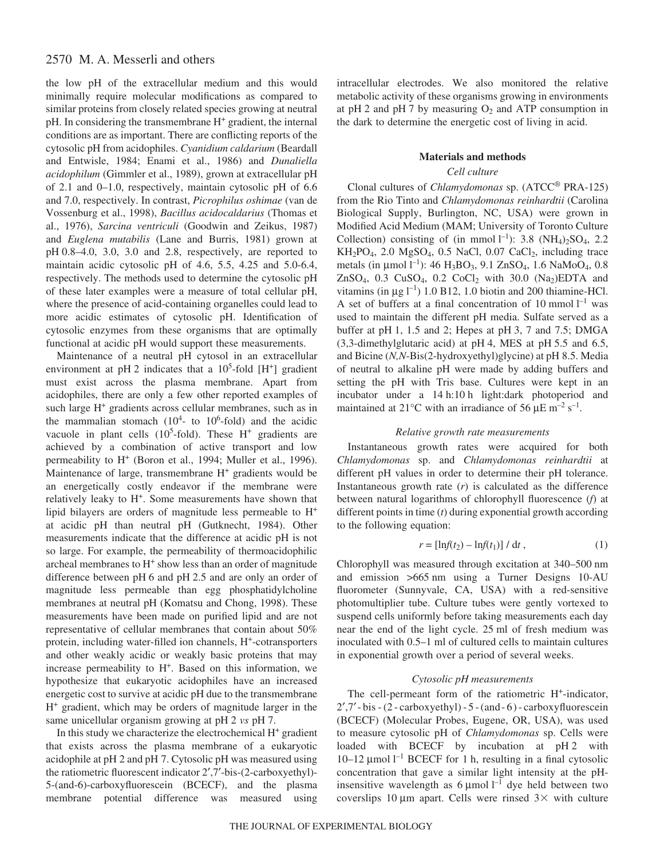the low pH of the extracellular medium and this would minimally require molecular modifications as compared to similar proteins from closely related species growing at neutral  $pH$ . In considering the transmembrane  $H^+$  gradient, the internal conditions are as important. There are conflicting reports of the cytosolic pH from acidophiles. *Cyanidium caldarium* (Beardall and Entwisle, 1984; Enami et al., 1986) and *Dunaliella acidophilum* (Gimmler et al., 1989), grown at extracellular pH of 2.1 and 0–1.0, respectively, maintain cytosolic pH of 6.6 and 7.0, respectively. In contrast, *Picrophilus oshimae* (van de Vossenburg et al., 1998), *Bacillus acidocaldarius* (Thomas et al., 1976), *Sarcina ventriculi* (Goodwin and Zeikus, 1987) and *Euglena mutabilis* (Lane and Burris, 1981) grown at  $pH$  0.8–4.0, 3.0, 3.0 and 2.8, respectively, are reported to maintain acidic cytosolic pH of 4.6, 5.5, 4.25 and 5.0-6.4, respectively. The methods used to determine the cytosolic pH of these later examples were a measure of total cellular pH, where the presence of acid-containing organelles could lead to more acidic estimates of cytosolic pH. Identification of cytosolic enzymes from these organisms that are optimally functional at acidic pH would support these measurements.

Maintenance of a neutral pH cytosol in an extracellular environment at pH 2 indicates that a  $10^5$ -fold [H<sup>+</sup>] gradient must exist across the plasma membrane. Apart from acidophiles, there are only a few other reported examples of such large H<sup>+</sup> gradients across cellular membranes, such as in the mammalian stomach  $(10^4$ - to  $10^6$ -fold) and the acidic vacuole in plant cells  $(10^5\text{-fold})$ . These H<sup>+</sup> gradients are achieved by a combination of active transport and low permeability to  $H^+$  (Boron et al., 1994; Muller et al., 1996). Maintenance of large, transmembrane  $H^+$  gradients would be an energetically costly endeavor if the membrane were relatively leaky to H+. Some measurements have shown that lipid bilayers are orders of magnitude less permeable to H+ at acidic pH than neutral pH (Gutknecht, 1984). Other measurements indicate that the difference at acidic pH is not so large. For example, the permeability of thermoacidophilic archeal membranes to  $H<sup>+</sup>$  show less than an order of magnitude difference between  $pH_6$  and  $pH_2.5$  and are only an order of magnitude less permeable than egg phosphatidylcholine membranes at neutral pH (Komatsu and Chong, 1998). These measurements have been made on purified lipid and are not representative of cellular membranes that contain about 50% protein, including water-filled ion channels, H<sup>+</sup>-cotransporters and other weakly acidic or weakly basic proteins that may increase permeability to  $H^+$ . Based on this information, we hypothesize that eukaryotic acidophiles have an increased energetic cost to survive at acidic pH due to the transmembrane H+ gradient, which may be orders of magnitude larger in the same unicellular organism growing at pH 2 *vs* pH 7.

In this study we characterize the electrochemical H+ gradient that exists across the plasma membrane of a eukaryotic acidophile at pH 2 and pH 7. Cytosolic pH was measured using the ratiometric fluorescent indicator 2′,7′-bis-(2-carboxyethyl)- 5-(and-6)-carboxyfluorescein (BCECF), and the plasma membrane potential difference was measured using

intracellular electrodes. We also monitored the relative metabolic activity of these organisms growing in environments at pH 2 and pH  $7$  by measuring  $O_2$  and ATP consumption in the dark to determine the energetic cost of living in acid.

### **Materials and methods**

## *Cell culture*

Clonal cultures of *Chlamydomonas* sp. (ATCC® PRA-125) from the Rio Tinto and *Chlamydomonas reinhardtii* (Carolina Biological Supply, Burlington, NC, USA) were grown in Modified Acid Medium (MAM; University of Toronto Culture Collection) consisting of (in mmol  $l^{-1}$ ): 3.8 (NH<sub>4</sub>)<sub>2</sub>SO<sub>4</sub>, 2.2  $KH_2PO_4$ , 2.0  $MgSO_4$ , 0.5 NaCl, 0.07 CaCl<sub>2</sub>, including trace metals (in  $\mu$ mol l<sup>-1</sup>): 46 H<sub>3</sub>BO<sub>3</sub>, 9.1 ZnSO<sub>4</sub>, 1.6 NaMoO<sub>4</sub>, 0.8 ZnSO<sub>4</sub>, 0.3 CuSO<sub>4</sub>, 0.2 CoCl<sub>2</sub> with 30.0 (Na<sub>2</sub>)EDTA and vitamins (in  $\mu$ g l<sup>-1</sup>) 1.0 B12, 1.0 biotin and 200 thiamine-HCl. A set of buffers at a final concentration of 10 mmol  $l^{-1}$  was used to maintain the different pH media. Sulfate served as a buffer at pH  $1$ ,  $1.5$  and  $2$ ; Hepes at pH  $3$ ,  $7$  and  $7.5$ ; DMGA  $(3,3$ -dimethylglutaric acid) at pH 4, MES at pH 5.5 and 6.5, and Bicine (N,N-Bis(2-hydroxyethyl)glycine) at pH 8.5. Media of neutral to alkaline pH were made by adding buffers and setting the pH with Tris base. Cultures were kept in an incubator under a 14 h:10 h light:dark photoperiod and maintained at 21°C with an irradiance of 56  $\mu$ E m<sup>-2</sup> s<sup>-1</sup>.

## *Relative growth rate measurements*

Instantaneous growth rates were acquired for both *Chlamydomonas* sp. and *Chlamydomonas reinhardtii* at different pH values in order to determine their pH tolerance. Instantaneous growth rate  $(r)$  is calculated as the difference between natural logarithms of chlorophyll fluorescence (*f*) at different points in time (*t*) during exponential growth according to the following equation:

$$
r = \left[\ln f(t_2) - \ln f(t_1)\right] / \mathrm{d}t \,,\tag{1}
$$

Chlorophyll was measured through excitation at 340–500 nm and emission >665 nm using a Turner Designs 10-AU fluorometer (Sunnyvale, CA, USA) with a red-sensitive photomultiplier tube. Culture tubes were gently vortexed to suspend cells uniformly before taking measurements each day near the end of the light cycle. 25 ml of fresh medium was inoculated with 0.5–1 ml of cultured cells to maintain cultures in exponential growth over a period of several weeks.

### *Cytosolic pH measurements*

The cell-permeant form of the ratiometric H<sup>+</sup>-indicator,  $2'$ ,7' - bis - (2 - carboxyethyl) - 5 - (and - 6) - carboxyfluorescein (BCECF) (Molecular Probes, Eugene, OR, USA), was used to measure cytosolic pH of *Chlamydomonas* sp. Cells were loaded with BCECF by incubation at pH2 with 10-12  $\mu$ mol l<sup>-1</sup> BCECF for 1 h, resulting in a final cytosolic concentration that gave a similar light intensity at the pHinsensitive wavelength as  $6 \mu$ mol  $l^{-1}$  dye held between two coverslips 10  $\mu$ m apart. Cells were rinsed  $3\times$  with culture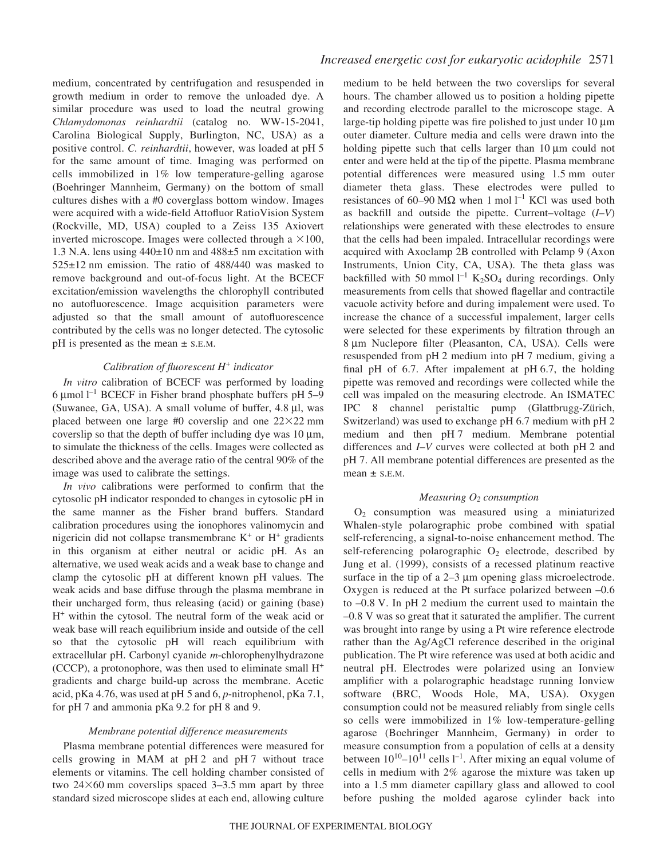medium, concentrated by centrifugation and resuspended in growth medium in order to remove the unloaded dye. A similar procedure was used to load the neutral growing *Chlamydomonas reinhardtii* (catalog no. WW-15-2041, Carolina Biological Supply, Burlington, NC, USA) as a positive control. *C. reinhardtii*, however, was loaded at pH 5 for the same amount of time. Imaging was performed on cells immobilized in 1% low temperature-gelling agarose (Boehringer Mannheim, Germany) on the bottom of small cultures dishes with a #0 coverglass bottom window. Images were acquired with a wide-field Attofluor RatioVision System (Rockville, MD, USA) coupled to a Zeiss 135 Axiovert inverted microscope. Images were collected through a  $\times 100$ , 1.3 N.A. lens using  $440\pm10$  nm and  $488\pm5$  nm excitation with  $525\pm12$  nm emission. The ratio of 488/440 was masked to remove background and out-of-focus light. At the BCECF excitation/emission wavelengths the chlorophyll contributed no autofluorescence. Image acquisition parameters were adjusted so that the small amount of autofluorescence contributed by the cells was no longer detected. The cytosolic  $pH$  is presented as the mean  $\pm$  s.e.m.

## *Calibration of fluorescent H<sup>+</sup> indicator*

*In vitro* calibration of BCECF was performed by loading 6 µmol  $l^{-1}$  BCECF in Fisher brand phosphate buffers pH 5-9 (Suwanee, GA, USA). A small volume of buffer,  $4.8 \mu l$ , was placed between one large  $#0$  coverslip and one  $22 \times 22$  mm coverslip so that the depth of buffer including dye was  $10 \mu m$ , to simulate the thickness of the cells. Images were collected as described above and the average ratio of the central 90% of the image was used to calibrate the settings.

*In vivo* calibrations were performed to confirm that the cytosolic pH indicator responded to changes in cytosolic pH in the same manner as the Fisher brand buffers. Standard calibration procedures using the ionophores valinomycin and nigericin did not collapse transmembrane  $K^+$  or  $H^+$  gradients in this organism at either neutral or acidic pH. As an alternative, we used weak acids and a weak base to change and clamp the cytosolic pH at different known pH values. The weak acids and base diffuse through the plasma membrane in their uncharged form, thus releasing (acid) or gaining (base)  $H^+$  within the cytosol. The neutral form of the weak acid or weak base will reach equilibrium inside and outside of the cell so that the cytosolic pH will reach equilibrium with extracellular pH. Carbonyl cyanide *m*-chlorophenylhydrazone (CCCP), a protonophore, was then used to eliminate small  $H^+$ gradients and charge build-up across the membrane. Acetic acid, pKa 4.76, was used at pH 5 and 6, *p*-nitrophenol, pKa 7.1, for pH 7 and ammonia pKa 9.2 for pH 8 and 9.

### *Membrane potential difference measurements*

Plasma membrane potential differences were measured for cells growing in MAM at  $pH_2$  and  $pH_7$  without trace elements or vitamins. The cell holding chamber consisted of two  $24\times60$  mm coverslips spaced 3–3.5 mm apart by three standard sized microscope slides at each end, allowing culture

medium to be held between the two coverslips for several hours. The chamber allowed us to position a holding pipette and recording electrode parallel to the microscope stage. A large-tip holding pipette was fire polished to just under  $10 \mu m$ outer diameter. Culture media and cells were drawn into the holding pipette such that cells larger than  $10 \mu m$  could not enter and were held at the tip of the pipette. Plasma membrane potential differences were measured using 1.5 mm outer diameter theta glass. These electrodes were pulled to resistances of 60–90 M $\Omega$  when 1 mol l<sup>-1</sup> KCl was used both as backfill and outside the pipette. Current–voltage (*I*–*V*) relationships were generated with these electrodes to ensure that the cells had been impaled. Intracellular recordings were acquired with Axoclamp 2B controlled with Pclamp 9 (Axon Instruments, Union City, CA, USA). The theta glass was backfilled with 50 mmol  $l^{-1}$  K<sub>2</sub>SO<sub>4</sub> during recordings. Only measurements from cells that showed flagellar and contractile vacuole activity before and during impalement were used. To increase the chance of a successful impalement, larger cells were selected for these experiments by filtration through an 8 µm Nuclepore filter (Pleasanton, CA, USA). Cells were resuspended from pH 2 medium into pH 7 medium, giving a final pH of  $6.7$ . After impalement at pH  $6.7$ , the holding pipette was removed and recordings were collected while the cell was impaled on the measuring electrode. An ISMATEC IPC 8 channel peristaltic pump (Glattbrugg-Zürich, Switzerland) was used to exchange pH 6.7 medium with pH 2 medium and then pH 7 medium. Membrane potential differences and *I*–*V* curves were collected at both pH 2 and pH 7. All membrane potential differences are presented as the mean  $\pm$  S.E.M.

### *Measuring O2 consumption*

O2 consumption was measured using a miniaturized Whalen-style polarographic probe combined with spatial self-referencing, a signal-to-noise enhancement method. The self-referencing polarographic  $O_2$  electrode, described by Jung et al. (1999), consists of a recessed platinum reactive surface in the tip of a  $2-3 \mu m$  opening glass microelectrode. Oxygen is reduced at the Pt surface polarized between –0.6 to  $-0.8$  V. In pH 2 medium the current used to maintain the  $-0.8$  V was so great that it saturated the amplifier. The current was brought into range by using a Pt wire reference electrode rather than the Ag/AgCl reference described in the original publication. The Pt wire reference was used at both acidic and neutral pH. Electrodes were polarized using an Ionview amplifier with a polarographic headstage running Ionview software (BRC, Woods Hole, MA, USA). Oxygen consumption could not be measured reliably from single cells so cells were immobilized in 1% low-temperature-gelling agarose (Boehringer Mannheim, Germany) in order to measure consumption from a population of cells at a density between  $10^{10}$ – $10^{11}$  cells l<sup>-1</sup>. After mixing an equal volume of cells in medium with 2% agarose the mixture was taken up into a 1.5 mm diameter capillary glass and allowed to cool before pushing the molded agarose cylinder back into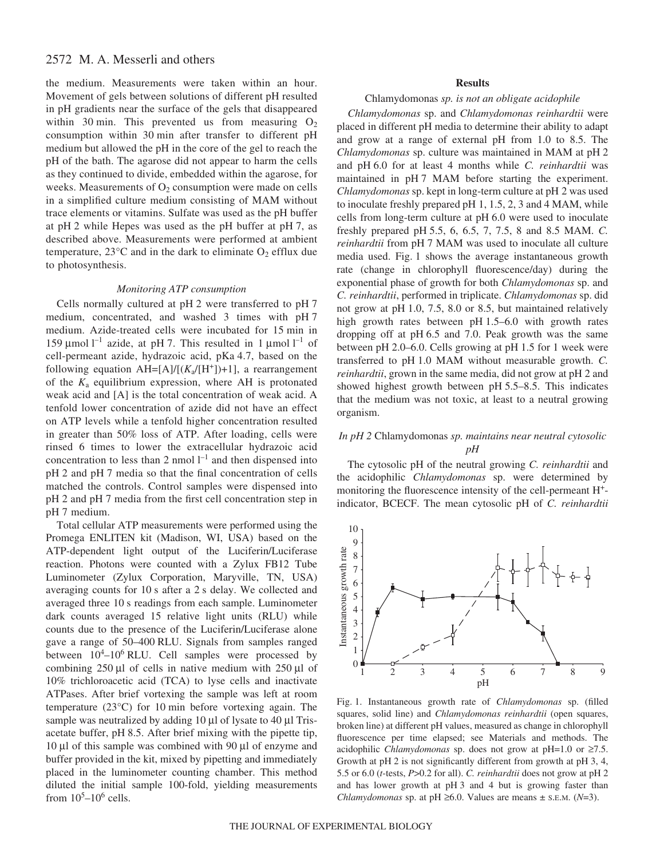the medium. Measurements were taken within an hour. Movement of gels between solutions of different pH resulted in pH gradients near the surface of the gels that disappeared within 30 min. This prevented us from measuring  $O_2$ consumption within 30 min after transfer to different pH medium but allowed the pH in the core of the gel to reach the pH of the bath. The agarose did not appear to harm the cells as they continued to divide, embedded within the agarose, for weeks. Measurements of  $O_2$  consumption were made on cells in a simplified culture medium consisting of MAM without trace elements or vitamins. Sulfate was used as the pH buffer at pH  $2$  while Hepes was used as the pH buffer at pH  $7$ , as described above. Measurements were performed at ambient temperature,  $23^{\circ}$ C and in the dark to eliminate  $O_2$  efflux due to photosynthesis.

## *Monitoring ATP consumption*

Cells normally cultured at pH 2 were transferred to pH 7 medium, concentrated, and washed 3 times with pH 7 medium. Azide-treated cells were incubated for 15 min in 159 µmol  $l^{-1}$  azide, at pH 7. This resulted in 1 µmol  $l^{-1}$  of cell-permeant azide, hydrazoic acid, pKa 4.7, based on the following equation  $AH=[A]/[(K_a/[H^+])+1]$ , a rearrangement of the  $K_a$  equilibrium expression, where AH is protonated weak acid and [A] is the total concentration of weak acid. A tenfold lower concentration of azide did not have an effect on ATP levels while a tenfold higher concentration resulted in greater than 50% loss of ATP. After loading, cells were rinsed 6 times to lower the extracellular hydrazoic acid concentration to less than 2 nmol  $l^{-1}$  and then dispensed into pH 2 and pH 7 media so that the final concentration of cells matched the controls. Control samples were dispensed into pH 2 and pH 7 media from the first cell concentration step in pH 7 medium.

Total cellular ATP measurements were performed using the Promega ENLITEN kit (Madison, WI, USA) based on the ATP-dependent light output of the Luciferin/Luciferase reaction. Photons were counted with a Zylux FB12 Tube Luminometer (Zylux Corporation, Maryville, TN, USA) averaging counts for 10 s after a 2 s delay. We collected and averaged three 10 s readings from each sample. Luminometer dark counts averaged 15 relative light units (RLU) while counts due to the presence of the Luciferin/Luciferase alone gave a range of 50-400 RLU. Signals from samples ranged between  $10^4$ -10<sup>6</sup> RLU. Cell samples were processed by combining  $250 \mu l$  of cells in native medium with  $250 \mu l$  of 10% trichloroacetic acid (TCA) to lyse cells and inactivate ATPases. After brief vortexing the sample was left at room temperature  $(23^{\circ}C)$  for 10 min before vortexing again. The sample was neutralized by adding  $10 \mu l$  of lysate to  $40 \mu l$  Trisacetate buffer, pH 8.5. After brief mixing with the pipette tip,  $10 \mu$ l of this sample was combined with 90  $\mu$ l of enzyme and buffer provided in the kit, mixed by pipetting and immediately placed in the luminometer counting chamber. This method diluted the initial sample 100-fold, yielding measurements from  $10^5 - 10^6$  cells.

### **Results**

### Chlamydomonas *sp. is not an obligate acidophile*

*Chlamydomonas* sp. and *Chlamydomonas reinhardtii* were placed in different pH media to determine their ability to adapt and grow at a range of external pH from 1.0 to 8.5. The *Chlamydomonas* sp. culture was maintained in MAM at pH 2 and pH 6.0 for at least 4 months while *C. reinhardtii* was maintained in pH<sup>7</sup> MAM before starting the experiment. *Chlamydomonas* sp. kept in long-term culture at pH 2 was used to inoculate freshly prepared pH  $1, 1.5, 2, 3$  and 4 MAM, while cells from long-term culture at pH 6.0 were used to inoculate freshly prepared pH 5.5, 6, 6.5, 7, 7.5, 8 and 8.5 MAM. *C*. *reinhardtii* from pH 7 MAM was used to inoculate all culture media used. Fig. 1 shows the average instantaneous growth rate (change in chlorophyll fluorescence/day) during the exponential phase of growth for both *Chlamydomonas* sp. and *C. reinhardtii*, performed in triplicate. *Chlamydomonas* sp. did not grow at pH  $1.0$ , 7.5, 8.0 or 8.5, but maintained relatively high growth rates between  $pH$  1.5–6.0 with growth rates dropping off at  $pH\ 6.5$  and 7.0. Peak growth was the same between pH  $2.0-6.0$ . Cells growing at pH 1.5 for 1 week were transferred to pH 1.0 MAM without measurable growth. *C*. *reinhardtii*, grown in the same media, did not grow at pH 2 and showed highest growth between pH 5.5–8.5. This indicates that the medium was not toxic, at least to a neutral growing organism.

## *In pH 2* Chlamydomonas *sp. maintains near neutral cytosolic pH*

The cytosolic pH of the neutral growing *C. reinhardtii* and the acidophilic *Chlamydomonas* sp. were determined by monitoring the fluorescence intensity of the cell-permeant H+ indicator, BCECF. The mean cytosolic pH of *C. reinhardtii*



Fig. 1. Instantaneous growth rate of *Chlamydomonas* sp. (filled squares, solid line) and *Chlamydomonas reinhardtii* (open squares, broken line) at different pH values, measured as change in chlorophyll fluorescence per time elapsed; see Materials and methods. The acidophilic *Chlamydomonas* sp. does not grow at pH=1.0 or ≥7.5. Growth at pH 2 is not significantly different from growth at pH 3, 4, 5.5 or 6.0 (*t*-tests, *P*>0.2 for all). *C. reinhardtii* does not grow at pH 2 and has lower growth at pH 3 and 4 but is growing faster than *Chlamydomonas* sp. at pH  $\geq$ 6.0. Values are means  $\pm$  s.e.m. (*N*=3).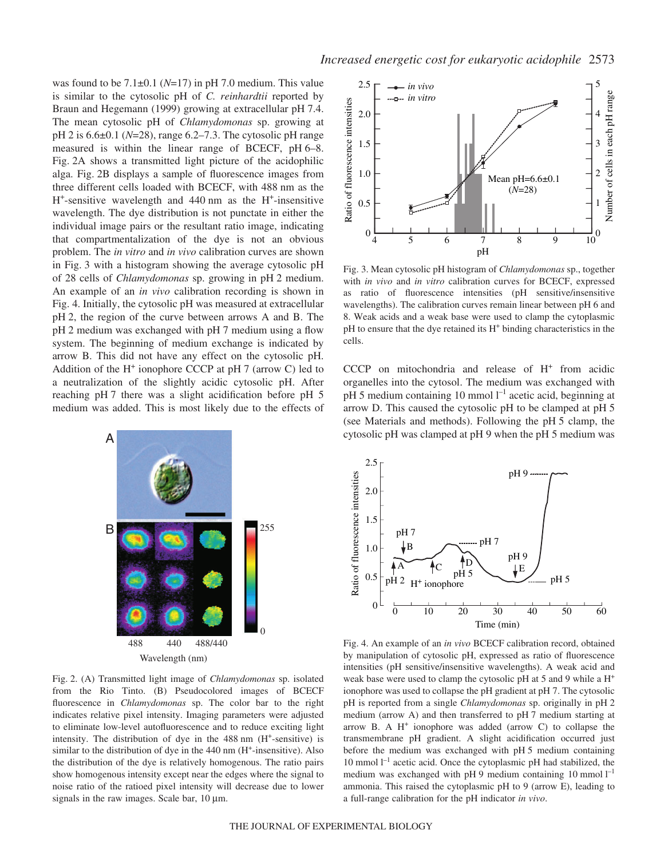was found to be  $7.1\pm0.1$  ( $N=17$ ) in pH 7.0 medium. This value is similar to the cytosolic pH of *C. reinhardtii* reported by Braun and Hegemann (1999) growing at extracellular pH 7.4. The mean cytosolic pH of *Chlamydomonas* sp. growing at pH 2 is 6.6±0.1 (*N*=28), range 6.2–7.3. The cytosolic pH range measured is within the linear range of BCECF, pH 6–8. Fig. 2A shows a transmitted light picture of the acidophilic alga. Fig. 2B displays a sample of fluorescence images from three different cells loaded with BCECF, with 488 nm as the  $H^*$ -sensitive wavelength and 440 nm as the  $H^*$ -insensitive wavelength. The dye distribution is not punctate in either the individual image pairs or the resultant ratio image, indicating that compartmentalization of the dye is not an obvious problem. The *in vitro* and *in vivo* calibration curves are shown in Fig. 3 with a histogram showing the average cytosolic pH of 28 cells of *Chlamydomonas* sp. growing in pH 2 medium. An example of an *in vivo* calibration recording is shown in Fig. 4. Initially, the cytosolic pH was measured at extracellular pH 2, the region of the curve between arrows A and B. The pH 2 medium was exchanged with pH 7 medium using a flow system. The beginning of medium exchange is indicated by arrow B. This did not have any effect on the cytosolic pH. Addition of the  $H^+$  ionophore CCCP at pH 7 (arrow C) led to a neutralization of the slightly acidic cytosolic pH. After reaching pH 7 there was a slight acidification before pH 5 medium was added. This is most likely due to the effects of



Fig. 2. (A) Transmitted light image of *Chlamydomonas* sp. isolated from the Rio Tinto. (B) Pseudocolored images of BCECF fluorescence in *Chlamydomonas* sp. The color bar to the right indicates relative pixel intensity. Imaging parameters were adjusted to eliminate low-level autofluorescence and to reduce exciting light intensity. The distribution of dye in the  $488 \text{ nm}$  (H<sup>+</sup>-sensitive) is similar to the distribution of dye in the  $440~\text{nm}$  (H<sup>+</sup>-insensitive). Also the distribution of the dye is relatively homogenous. The ratio pairs show homogenous intensity except near the edges where the signal to noise ratio of the ratioed pixel intensity will decrease due to lower signals in the raw images. Scale bar,  $10 \mu m$ .



Fig. 3. Mean cytosolic pH histogram of *Chlamydomonas* sp., together with *in vivo* and *in vitro* calibration curves for BCECF, expressed as ratio of fluorescence intensities (pH sensitive/insensitive wavelengths). The calibration curves remain linear between pH 6 and 8. Weak acids and a weak base were used to clamp the cytoplasmic  $pH$  to ensure that the dye retained its  $H<sup>+</sup>$  binding characteristics in the cells.

CCCP on mitochondria and release of  $H^+$  from acidic organelles into the cytosol. The medium was exchanged with pH 5 medium containing 10 mmol  $l^{-1}$  acetic acid, beginning at arrow D. This caused the cytosolic pH to be clamped at pH·5 (see Materials and methods). Following the pH 5 clamp, the **A** cytosolic pH was clamped at pH 9 when the pH 5 medium was



Fig. 4. An example of an *in vivo* BCECF calibration record, obtained by manipulation of cytosolic pH, expressed as ratio of fluorescence intensities (pH sensitive/insensitive wavelengths). A weak acid and weak base were used to clamp the cytosolic pH at 5 and 9 while a H+ ionophore was used to collapse the pH gradient at pH 7. The cytosolic pH is reported from a single *Chlamydomonas* sp. originally in pH·2 medium (arrow A) and then transferred to  $pH<sub>7</sub>$  medium starting at arrow B. A  $H^+$  ionophore was added (arrow C) to collapse the transmembrane pH gradient. A slight acidification occurred just before the medium was exchanged with pH 5 medium containing 10 mmol  $l^{-1}$  acetic acid. Once the cytoplasmic pH had stabilized, the medium was exchanged with pH 9 medium containing  $10$  mmol  $l^{-1}$ ammonia. This raised the cytoplasmic pH to 9 (arrow E), leading to a full-range calibration for the pH indicator *in vivo*.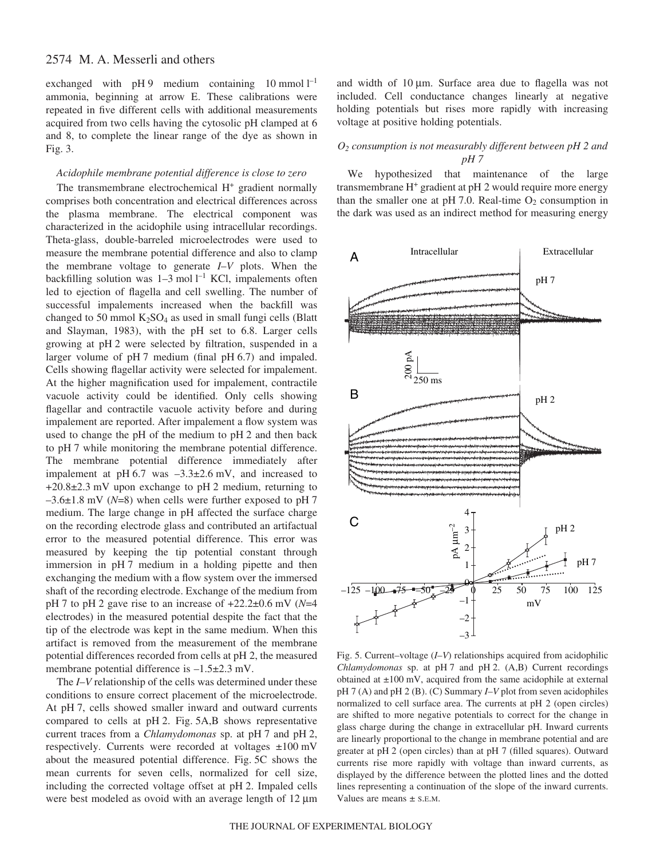exchanged with pH 9 medium containing  $10$  mmol  $l^{-1}$ ammonia, beginning at arrow E. These calibrations were repeated in five different cells with additional measurements acquired from two cells having the cytosolic pH clamped at 6 and 8, to complete the linear range of the dye as shown in Fig.  $3$ .

## *Acidophile membrane potential difference is close to zero*

The transmembrane electrochemical  $H^+$  gradient normally comprises both concentration and electrical differences across the plasma membrane. The electrical component was characterized in the acidophile using intracellular recordings. Theta-glass, double-barreled microelectrodes were used to measure the membrane potential difference and also to clamp the membrane voltage to generate *I*–*V* plots. When the backfilling solution was  $1-3$  mol  $l^{-1}$  KCl, impalements often led to ejection of flagella and cell swelling. The number of successful impalements increased when the backfill was changed to 50 mmol  $K_2SO_4$  as used in small fungi cells (Blatt and Slayman, 1983), with the pH set to 6.8. Larger cells growing at pH 2 were selected by filtration, suspended in a larger volume of  $pH7$  medium (final  $pH6.7$ ) and impaled. Cells showing flagellar activity were selected for impalement. At the higher magnification used for impalement, contractile vacuole activity could be identified. Only cells showing flagellar and contractile vacuole activity before and during impalement are reported. After impalement a flow system was used to change the pH of the medium to pH 2 and then back to pH 7 while monitoring the membrane potential difference. The membrane potential difference immediately after impalement at pH 6.7 was  $-3.3\pm2.6$  mV, and increased to  $+20.8\pm2.3$  mV upon exchange to pH 2 medium, returning to  $-3.6\pm1.8$  mV ( $N=8$ ) when cells were further exposed to pH 7 medium. The large change in pH affected the surface charge on the recording electrode glass and contributed an artifactual error to the measured potential difference. This error was measured by keeping the tip potential constant through immersion in pH 7 medium in a holding pipette and then exchanging the medium with a flow system over the immersed shaft of the recording electrode. Exchange of the medium from pH 7 to pH 2 gave rise to an increase of  $+22.2\pm0.6$  mV ( $N=4$ ) electrodes) in the measured potential despite the fact that the tip of the electrode was kept in the same medium. When this artifact is removed from the measurement of the membrane potential differences recorded from cells at pH 2, the measured membrane potential difference is  $-1.5\pm2.3$  mV.

The *I*–*V* relationship of the cells was determined under these conditions to ensure correct placement of the microelectrode. At pH 7, cells showed smaller inward and outward currents compared to cells at pH 2. Fig. 5A,B shows representative current traces from a *Chlamydomonas* sp. at pH 7 and pH 2, respectively. Currents were recorded at voltages  $\pm 100$  mV about the measured potential difference. Fig. 5C shows the mean currents for seven cells, normalized for cell size, including the corrected voltage offset at pH 2. Impaled cells were best modeled as ovoid with an average length of 12  $\mu$ m

and width of  $10 \mu m$ . Surface area due to flagella was not included. Cell conductance changes linearly at negative holding potentials but rises more rapidly with increasing voltage at positive holding potentials.

## *O2 consumption is not measurably different between pH 2 and pH 7*

We hypothesized that maintenance of the large transmembrane H<sup>+</sup> gradient at pH 2 would require more energy than the smaller one at pH 7.0. Real-time  $O_2$  consumption in the dark was used as an indirect method for measuring energy



Fig. 5. Current–voltage (*I*–*V*) relationships acquired from acidophilic *Chlamydomonas* sp. at pH 7 and pH 2. (A,B) Current recordings obtained at  $\pm 100$  mV, acquired from the same acidophile at external pH 7 (A) and pH 2 (B). (C) Summary *I*–*V* plot from seven acidophiles normalized to cell surface area. The currents at pH 2 (open circles) are shifted to more negative potentials to correct for the change in glass charge during the change in extracellular pH. Inward currents are linearly proportional to the change in membrane potential and are greater at pH 2 (open circles) than at pH 7 (filled squares). Outward currents rise more rapidly with voltage than inward currents, as displayed by the difference between the plotted lines and the dotted lines representing a continuation of the slope of the inward currents. Values are means ± S.E.M.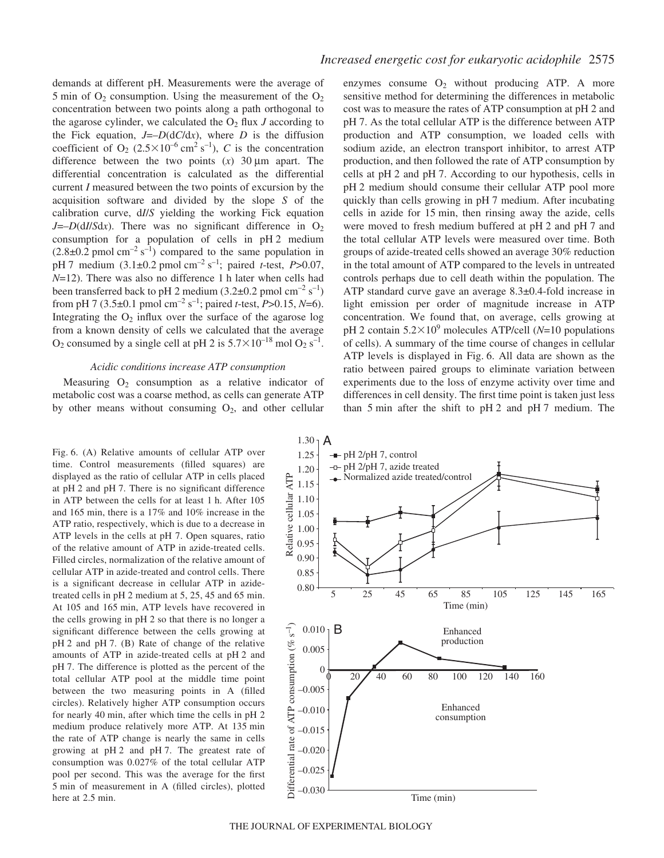demands at different pH. Measurements were the average of 5 min of  $O_2$  consumption. Using the measurement of the  $O_2$ concentration between two points along a path orthogonal to the agarose cylinder, we calculated the  $O_2$  flux *J* according to the Fick equation,  $J=-D(dC/dx)$ , where *D* is the diffusion coefficient of  $O_2$  (2.5×10<sup>-6</sup> cm<sup>2</sup> s<sup>-1</sup>), *C* is the concentration difference between the two points  $(x)$  30  $\mu$ m apart. The differential concentration is calculated as the differential current *I* measured between the two points of excursion by the acquisition software and divided by the slope *S* of the calibration curve, d*I*/*S* yielding the working Fick equation  $J=-D(dI/Sdx)$ . There was no significant difference in  $O_2$ consumption for a population of cells in  $pH_2$  medium  $(2.8\pm0.2~\text{pmol cm}^{-2}~\text{s}^{-1})$  compared to the same population in pH 7 medium  $(3.1\pm0.2 \text{ pmol cm}^{-2} \text{ s}^{-1})$ ; paired *t*-test, *P*>0.07,  $N=12$ ). There was also no difference 1 h later when cells had been transferred back to pH 2 medium (3.2 $\pm$ 0.2 pmol cm<sup>-2</sup> s<sup>-1</sup>) from pH 7 (3.5±0.1 pmol cm<sup>-2</sup> s<sup>-1</sup>; paired *t*-test, *P*>0.15, *N*=6). Integrating the  $O_2$  influx over the surface of the agarose log from a known density of cells we calculated that the average  $O_2$  consumed by a single cell at pH 2 is  $5.7\times10^{-18}$  mol  $O_2$  s<sup>-1</sup>.

## *Acidic conditions increase ATP consumption*

Measuring  $O_2$  consumption as a relative indicator of metabolic cost was a coarse method, as cells can generate ATP by other means without consuming  $O_2$ , and other cellular

Fig. 6. (A) Relative amounts of cellular ATP over time. Control measurements (filled squares) are displayed as the ratio of cellular ATP in cells placed at pH 2 and pH 7. There is no significant difference in ATP between the cells for at least 1 h. After 105 and 165 min, there is a 17% and 10% increase in the ATP ratio, respectively, which is due to a decrease in ATP levels in the cells at pH 7. Open squares, ratio of the relative amount of ATP in azide-treated cells. Filled circles, normalization of the relative amount of cellular ATP in azide-treated and control cells. There is a significant decrease in cellular ATP in azidetreated cells in  $pH_2$  medium at 5, 25, 45 and 65 min. At 105 and 165 min, ATP levels have recovered in the cells growing in  $pH_2$  so that there is no longer a significant difference between the cells growing at pH 2 and pH 7. (B) Rate of change of the relative amounts of ATP in azide-treated cells at pH 2 and pH 7. The difference is plotted as the percent of the total cellular ATP pool at the middle time point between the two measuring points in A (filled circles). Relatively higher ATP consumption occurs for nearly 40 min, after which time the cells in  $pH 2$ medium produce relatively more ATP. At 135 min the rate of ATP change is nearly the same in cells growing at pH 2 and pH 7. The greatest rate of consumption was 0.027% of the total cellular ATP pool per second. This was the average for the first 5 min of measurement in A (filled circles), plotted here at 2.5 min.

enzymes consume  $O_2$  without producing ATP. A more sensitive method for determining the differences in metabolic cost was to measure the rates of ATP consumption at pH 2 and pH 7. As the total cellular ATP is the difference between ATP production and ATP consumption, we loaded cells with sodium azide, an electron transport inhibitor, to arrest ATP production, and then followed the rate of ATP consumption by cells at pH 2 and pH 7. According to our hypothesis, cells in pH 2 medium should consume their cellular ATP pool more quickly than cells growing in pH 7 medium. After incubating cells in azide for 15 min, then rinsing away the azide, cells were moved to fresh medium buffered at pH 2 and pH 7 and the total cellular ATP levels were measured over time. Both groups of azide-treated cells showed an average 30% reduction in the total amount of ATP compared to the levels in untreated controls perhaps due to cell death within the population. The ATP standard curve gave an average 8.3±0.4-fold increase in light emission per order of magnitude increase in ATP concentration. We found that, on average, cells growing at pH 2 contain  $5.2 \times 10^9$  molecules ATP/cell (*N*=10 populations of cells). A summary of the time course of changes in cellular ATP levels is displayed in Fig. 6. All data are shown as the ratio between paired groups to eliminate variation between experiments due to the loss of enzyme activity over time and differences in cell density. The first time point is taken just less than 5 min after the shift to  $pH_2$  and  $pH_7$  medium. The

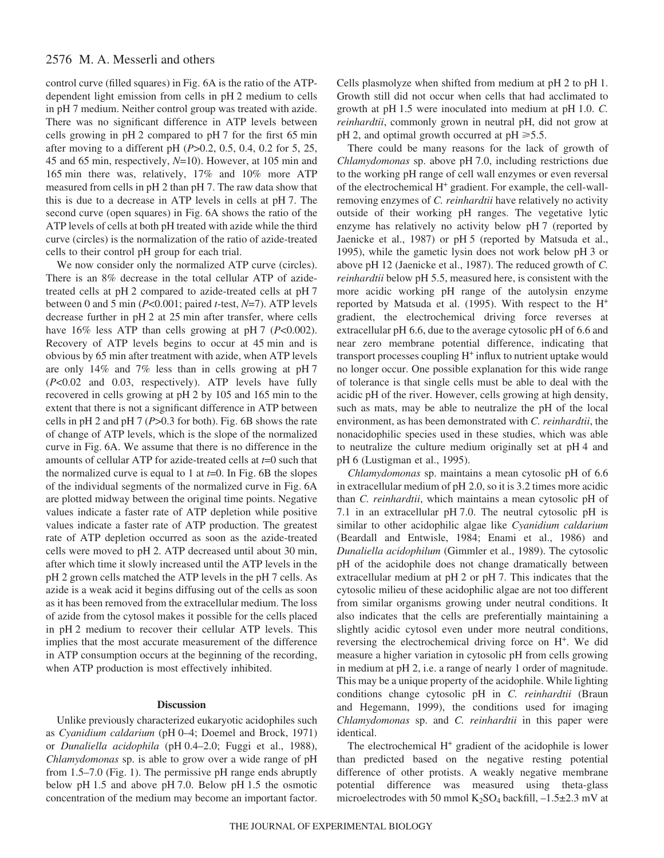control curve (filled squares) in Fig. 6A is the ratio of the ATPdependent light emission from cells in pH 2 medium to cells in pH 7 medium. Neither control group was treated with azide. There was no significant difference in ATP levels between cells growing in  $pH_2$  compared to  $pH_7$  for the first 65 min after moving to a different pH (*P*>0.2, 0.5, 0.4, 0.2 for 5, 25, 45 and 65 min, respectively,  $N=10$ ). However, at 105 min and 165 min there was, relatively, 17% and 10% more ATP measured from cells in pH 2 than pH 7. The raw data show that this is due to a decrease in ATP levels in cells at  $pH7$ . The second curve (open squares) in Fig. 6A shows the ratio of the ATP levels of cells at both pH treated with azide while the third curve (circles) is the normalization of the ratio of azide-treated cells to their control pH group for each trial.

We now consider only the normalized ATP curve (circles). There is an 8% decrease in the total cellular ATP of azidetreated cells at pH 2 compared to azide-treated cells at pH 7 between 0 and 5 min (*P*<0.001; paired *t*-test, *N*=7). ATP levels decrease further in pH 2 at 25 min after transfer, where cells have  $16\%$  less ATP than cells growing at pH 7 ( $P<0.002$ ). Recovery of ATP levels begins to occur at 45 min and is obvious by 65 min after treatment with azide, when ATP levels are only 14% and 7% less than in cells growing at pH 7 (*P*<0.02 and 0.03, respectively). ATP levels have fully recovered in cells growing at pH 2 by 105 and 165 min to the extent that there is not a significant difference in ATP between cells in pH 2 and pH  $7$  ( $P > 0.3$  for both). Fig. 6B shows the rate of change of ATP levels, which is the slope of the normalized curve in Fig. 6A. We assume that there is no difference in the amounts of cellular ATP for azide-treated cells at *t*=0 such that the normalized curve is equal to 1 at  $t=0$ . In Fig. 6B the slopes of the individual segments of the normalized curve in Fig. 6A are plotted midway between the original time points. Negative values indicate a faster rate of ATP depletion while positive values indicate a faster rate of ATP production. The greatest rate of ATP depletion occurred as soon as the azide-treated cells were moved to pH 2. ATP decreased until about 30 min, after which time it slowly increased until the ATP levels in the pH 2 grown cells matched the ATP levels in the pH 7 cells. As azide is a weak acid it begins diffusing out of the cells as soon as it has been removed from the extracellular medium. The loss of azide from the cytosol makes it possible for the cells placed in pH 2 medium to recover their cellular ATP levels. This implies that the most accurate measurement of the difference in ATP consumption occurs at the beginning of the recording, when ATP production is most effectively inhibited.

#### **Discussion**

Unlike previously characterized eukaryotic acidophiles such as *Cyanidium caldarium* (pH 0–4; Doemel and Brock, 1971) or *Dunaliella acidophila* (pH 0.4–2.0; Fuggi et al., 1988), *Chlamydomonas* sp. is able to grow over a wide range of pH from  $1.5-7.0$  (Fig. 1). The permissive pH range ends abruptly below pH 1.5 and above pH 7.0. Below pH 1.5 the osmotic concentration of the medium may become an important factor.

Cells plasmolyze when shifted from medium at pH 2 to pH 1. Growth still did not occur when cells that had acclimated to growth at pH 1.5 were inoculated into medium at pH 1.0. *C*. *reinhardtii*, commonly grown in neutral pH, did not grow at pH 2, and optimal growth occurred at  $pH \ge 5.5$ .

There could be many reasons for the lack of growth of *Chlamydomonas* sp. above pH 7.0, including restrictions due to the working pH range of cell wall enzymes or even reversal of the electrochemical H<sup>+</sup> gradient. For example, the cell-wallremoving enzymes of *C. reinhardtii* have relatively no activity outside of their working pH ranges. The vegetative lytic enzyme has relatively no activity below pH 7 (reported by Jaenicke et al., 1987) or pH 5 (reported by Matsuda et al., 1995), while the gametic lysin does not work below pH 3 or above pH·12 (Jaenicke et al., 1987). The reduced growth of *C. reinhardtii* below pH 5.5, measured here, is consistent with the more acidic working pH range of the autolysin enzyme reported by Matsuda et al. (1995). With respect to the H<sup>+</sup> gradient, the electrochemical driving force reverses at extracellular pH 6.6, due to the average cytosolic pH of 6.6 and near zero membrane potential difference, indicating that transport processes coupling H<sup>+</sup> influx to nutrient uptake would no longer occur. One possible explanation for this wide range of tolerance is that single cells must be able to deal with the acidic pH of the river. However, cells growing at high density, such as mats, may be able to neutralize the pH of the local environment, as has been demonstrated with *C. reinhardtii*, the nonacidophilic species used in these studies, which was able to neutralize the culture medium originally set at pH 4 and pH 6 (Lustigman et al., 1995).

*Chlamydomonas* sp. maintains a mean cytosolic pH of 6.6 in extracellular medium of  $pH 2.0$ , so it is 3.2 times more acidic than *C. reinhardtii*, which maintains a mean cytosolic pH of 7.1 in an extracellular pH 7.0. The neutral cytosolic pH is similar to other acidophilic algae like *Cyanidium caldarium* (Beardall and Entwisle, 1984; Enami et al., 1986) and *Dunaliella acidophilum* (Gimmler et al., 1989). The cytosolic pH of the acidophile does not change dramatically between extracellular medium at pH 2 or pH 7. This indicates that the cytosolic milieu of these acidophilic algae are not too different from similar organisms growing under neutral conditions. It also indicates that the cells are preferentially maintaining a slightly acidic cytosol even under more neutral conditions, reversing the electrochemical driving force on H+. We did measure a higher variation in cytosolic pH from cells growing in medium at pH 2, i.e. a range of nearly 1 order of magnitude. This may be a unique property of the acidophile. While lighting conditions change cytosolic pH in *C. reinhardtii* (Braun and Hegemann, 1999), the conditions used for imaging *Chlamydomonas* sp. and *C. reinhardtii* in this paper were identical.

The electrochemical  $H^+$  gradient of the acidophile is lower than predicted based on the negative resting potential difference of other protists. A weakly negative membrane potential difference was measured using theta-glass microelectrodes with 50 mmol  $K_2SO_4$  backfill,  $-1.5\pm2.3~\text{mV}$  at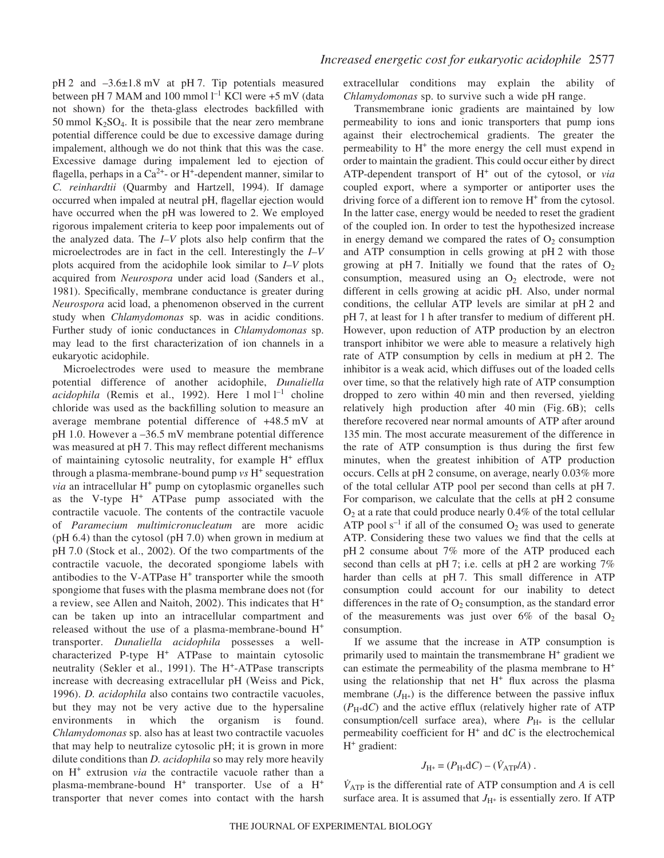pH 2 and  $-3.6\pm1.8$  mV at pH 7. Tip potentials measured between pH 7 MAM and 100 mmol  $l^{-1}$  KCl were +5 mV (data not shown) for the theta-glass electrodes backfilled with 50 mmol  $K_2SO_4$ . It is possibile that the near zero membrane potential difference could be due to excessive damage during impalement, although we do not think that this was the case. Excessive damage during impalement led to ejection of flagella, perhaps in a  $Ca^{2+}$ - or H<sup>+</sup>-dependent manner, similar to *C. reinhardtii* (Quarmby and Hartzell, 1994). If damage occurred when impaled at neutral pH, flagellar ejection would have occurred when the pH was lowered to 2. We employed rigorous impalement criteria to keep poor impalements out of the analyzed data. The *I–V* plots also help confirm that the microelectrodes are in fact in the cell. Interestingly the *I–V* plots acquired from the acidophile look similar to *I–V* plots acquired from *Neurospora* under acid load (Sanders et al., 1981). Specifically, membrane conductance is greater during *Neurospora* acid load, a phenomenon observed in the current study when *Chlamydomonas* sp. was in acidic conditions. Further study of ionic conductances in *Chlamydomonas* sp. may lead to the first characterization of ion channels in a eukaryotic acidophile.

Microelectrodes were used to measure the membrane potential difference of another acidophile, *Dunaliella* acidophila (Remis et al., 1992). Here 1 mol l<sup>-1</sup> choline chloride was used as the backfilling solution to measure an average membrane potential difference of  $+48.5$  mV at pH 1.0. However a  $-36.5$  mV membrane potential difference was measured at pH 7. This may reflect different mechanisms of maintaining cytosolic neutrality, for example  $H^+$  efflux through a plasma-membrane-bound pump *vs* H<sup>+</sup> sequestration *via* an intracellular H<sup>+</sup> pump on cytoplasmic organelles such as the V-type  $H^+$  ATPase pump associated with the contractile vacuole. The contents of the contractile vacuole of *Paramecium multimicronucleatum* are more acidic ( $pH\$ 6.4) than the cytosol ( $pH\$ 7.0) when grown in medium at pH 7.0 (Stock et al., 2002). Of the two compartments of the contractile vacuole, the decorated spongiome labels with antibodies to the V-ATPase  $H^+$  transporter while the smooth spongiome that fuses with the plasma membrane does not (for a review, see Allen and Naitoh, 2002). This indicates that H<sup>+</sup> can be taken up into an intracellular compartment and released without the use of a plasma-membrane-bound  $H^+$ transporter. *Dunaliella acidophila* possesses a wellcharacterized P-type H<sup>+</sup> ATPase to maintain cytosolic neutrality (Sekler et al., 1991). The H<sup>+</sup>-ATPase transcripts increase with decreasing extracellular pH (Weiss and Pick, 1996). *D. acidophila* also contains two contractile vacuoles, but they may not be very active due to the hypersaline environments in which the organism is found. *Chlamydomonas* sp. also has at least two contractile vacuoles that may help to neutralize cytosolic pH; it is grown in more dilute conditions than *D. acidophila* so may rely more heavily on H<sup>+</sup> extrusion *via* the contractile vacuole rather than a plasma-membrane-bound  $H^+$  transporter. Use of a  $H^+$ transporter that never comes into contact with the harsh

extracellular conditions may explain the ability of *Chlamydomonas* sp. to survive such a wide pH range.

Transmembrane ionic gradients are maintained by low permeability to ions and ionic transporters that pump ions against their electrochemical gradients. The greater the permeability to  $H^+$  the more energy the cell must expend in order to maintain the gradient. This could occur either by direct ATP-dependent transport of H<sup>+</sup> out of the cytosol, or *via* coupled export, where a symporter or antiporter uses the driving force of a different ion to remove  $H^+$  from the cytosol. In the latter case, energy would be needed to reset the gradient of the coupled ion. In order to test the hypothesized increase in energy demand we compared the rates of  $O_2$  consumption and ATP consumption in cells growing at  $pH_2$  with those growing at pH 7. Initially we found that the rates of  $O_2$ consumption, measured using an  $O_2$  electrode, were not different in cells growing at acidic pH. Also, under normal conditions, the cellular ATP levels are similar at pH 2 and pH 7, at least for 1 h after transfer to medium of different pH. However, upon reduction of ATP production by an electron transport inhibitor we were able to measure a relatively high rate of ATP consumption by cells in medium at pH 2. The inhibitor is a weak acid, which diffuses out of the loaded cells over time, so that the relatively high rate of ATP consumption dropped to zero within 40 min and then reversed, yielding relatively high production after  $40 \text{ min}$  (Fig. 6B); cells therefore recovered near normal amounts of ATP after around 135 min. The most accurate measurement of the difference in the rate of ATP consumption is thus during the first few minutes, when the greatest inhibition of ATP production occurs. Cells at pH 2 consume, on average, nearly 0.03% more of the total cellular ATP pool per second than cells at pH 7. For comparison, we calculate that the cells at pH 2 consume  $O<sub>2</sub>$  at a rate that could produce nearly 0.4% of the total cellular ATP pool  $s^{-1}$  if all of the consumed  $O_2$  was used to generate ATP. Considering these two values we find that the cells at  $pH 2$  consume about 7% more of the ATP produced each second than cells at pH 7; i.e. cells at pH 2 are working  $7\%$ harder than cells at pH 7. This small difference in ATP consumption could account for our inability to detect differences in the rate of  $O_2$  consumption, as the standard error of the measurements was just over  $6\%$  of the basal  $O_2$ consumption.

If we assume that the increase in ATP consumption is primarily used to maintain the transmembrane  $H<sup>+</sup>$  gradient we can estimate the permeability of the plasma membrane to  $H^+$ using the relationship that net  $H^+$  flux across the plasma membrane  $(J_{H^+})$  is the difference between the passive influx  $(P_H + dC)$  and the active efflux (relatively higher rate of ATP consumption/cell surface area), where  $P_{H^+}$  is the cellular permeability coefficient for  $H^+$  and  $dC$  is the electrochemical  $H^+$  gradient:

$$
J_{H^+} = (P_{H^+} dC) - (\dot{V}_{ATP}/A)
$$
.

*V*ATP is the differential rate of ATP consumption and *A* is cell surface area. It is assumed that  $J_{H^+}$  is essentially zero. If ATP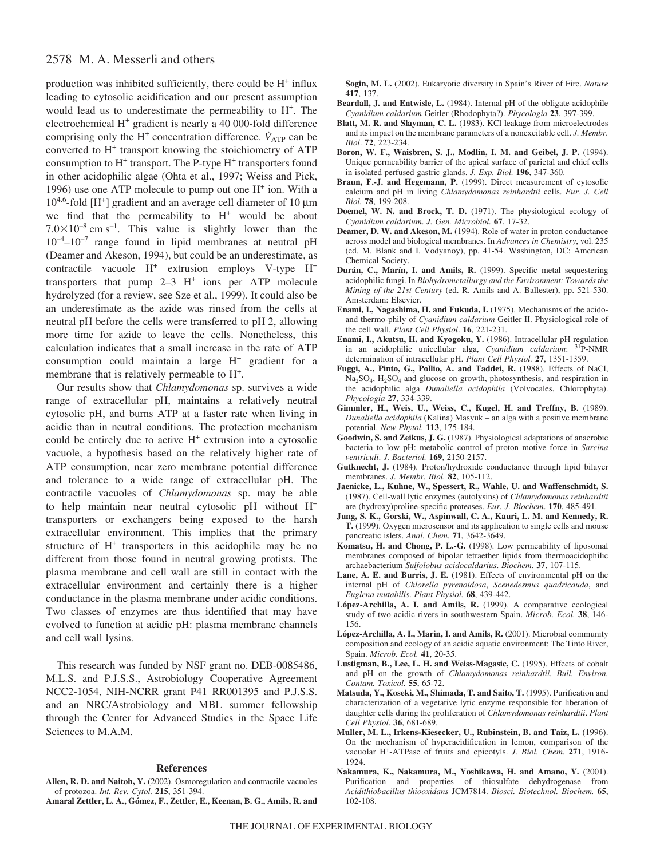production was inhibited sufficiently, there could be  $H^+$  influx leading to cytosolic acidification and our present assumption would lead us to underestimate the permeability to  $H^+$ . The electrochemical  $H^+$  gradient is nearly a 40 000-fold difference comprising only the H<sup>+</sup> concentration difference.  $\dot{V}_{ATP}$  can be converted to  $H^+$  transport knowing the stoichiometry of ATP consumption to  $H^+$  transport. The P-type  $H^+$  transporters found in other acidophilic algae (Ohta et al., 1997; Weiss and Pick, 1996) use one ATP molecule to pump out one  $H^+$  ion. With a  $10^{4.6}$ -fold [H<sup>+</sup>] gradient and an average cell diameter of 10  $\mu$ m we find that the permeability to  $H^+$  would be about  $7.0 \times 10^{-8}$  cm s<sup>-1</sup>. This value is slightly lower than the  $10^{-4}$ – $10^{-7}$  range found in lipid membranes at neutral pH (Deamer and Akeson, 1994), but could be an underestimate, as contractile vacuole  $H^+$  extrusion employs V-type  $H^+$ transporters that pump  $2-3$  H<sup>+</sup> ions per ATP molecule hydrolyzed (for a review, see Sze et al., 1999). It could also be an underestimate as the azide was rinsed from the cells at neutral pH before the cells were transferred to pH 2, allowing more time for azide to leave the cells. Nonetheless, this calculation indicates that a small increase in the rate of ATP consumption could maintain a large  $H^+$  gradient for a membrane that is relatively permeable to  $H^+$ .

Our results show that *Chlamydomonas* sp. survives a wide range of extracellular pH, maintains a relatively neutral cytosolic pH, and burns ATP at a faster rate when living in acidic than in neutral conditions. The protection mechanism could be entirely due to active  $H<sup>+</sup>$  extrusion into a cytosolic vacuole, a hypothesis based on the relatively higher rate of ATP consumption, near zero membrane potential difference and tolerance to a wide range of extracellular pH. The contractile vacuoles of *Chlamydomonas* sp. may be able to help maintain near neutral cytosolic pH without H<sup>+</sup> transporters or exchangers being exposed to the harsh extracellular environment. This implies that the primary structure of  $H^+$  transporters in this acidophile may be no different from those found in neutral growing protists. The plasma membrane and cell wall are still in contact with the extracellular environment and certainly there is a higher conductance in the plasma membrane under acidic conditions. Two classes of enzymes are thus identified that may have evolved to function at acidic pH: plasma membrane channels and cell wall lysins.

This research was funded by NSF grant no. DEB-0085486, M.L.S. and P.J.S.S., Astrobiology Cooperative Agreement NCC2-1054, NIH-NCRR grant P41 RR001395 and P.J.S.S. and an NRC/Astrobiology and MBL summer fellowship through the Center for Advanced Studies in the Space Life Sciences to M.A.M.

#### **References**

**Allen, R. D. and Naitoh, Y.** (2002). Osmoregulation and contractile vacuoles of protozoa. *Int. Rev. Cytol.* **215**, 351-394.

**Amaral Zettler, L. A., Gómez, F., Zettler, E., Keenan, B. G., Amils, R. and**

**Sogin, M. L.** (2002). Eukaryotic diversity in Spain's River of Fire. *Nature* **417**, 137.

- **Beardall, J. and Entwisle, L.** (1984). Internal pH of the obligate acidophile *Cyanidium caldarium* Geitler (Rhodophyta?). *Phycologia* **23**, 397-399.
- **Blatt, M. R. and Slayman, C. L.** (1983). KCl leakage from microelectrodes and its impact on the membrane parameters of a nonexcitable cell. *J. Membr. Biol*. **72**, 223-234.
- **Boron, W. F., Waisbren, S. J., Modlin, I. M. and Geibel, J. P.** (1994). Unique permeability barrier of the apical surface of parietal and chief cells in isolated perfused gastric glands. *J. Exp. Biol.* **196**, 347-360.
- **Braun, F.-J. and Hegemann, P.** (1999). Direct measurement of cytosolic calcium and pH in living *Chlamydomonas reinhardtii* cells. *Eur. J. Cell Biol.* **78**, 199-208.
- **Doemel, W. N. and Brock, T. D.** (1971). The physiological ecology of *Cyanidium caldarium*. *J. Gen. Microbiol.* **67**, 17-32.
- **Deamer, D. W. and Akeson, M.** (1994). Role of water in proton conductance across model and biological membranes. In *Advances in Chemistry*, vol. 235 (ed. M. Blank and I. Vodyanoy), pp. 41-54. Washington, DC: American Chemical Society.
- **Durán, C., Marín, I. and Amils, R.** (1999). Specific metal sequestering acidophilic fungi. In *Biohydrometallurgy and the Environment: Towards the Mining of the 21st Century* (ed. R. Amils and A. Ballester), pp. 521-530. Amsterdam: Elsevier.
- **Enami, I., Nagashima, H. and Fukuda, I.** (1975). Mechanisms of the acidoand thermo-phily of *Cyanidium caldarium* Geitler II. Physiological role of the cell wall. *Plant Cell Physiol*. **16**, 221-231.
- **Enami, I., Akutsu, H. and Kyogoku, Y.** (1986). Intracellular pH regulation in an acidophilic unicellular alga, *Cyanidium caldarium*: 31P-NMR determination of intracellular pH. *Plant Cell Physiol.* **27**, 1351-1359.
- **Fuggi, A., Pinto, G., Pollio, A. and Taddei, R.** (1988). Effects of NaCl, Na2SO4, H2SO4 and glucose on growth, photosynthesis, and respiration in the acidophilic alga *Dunaliella acidophila* (Volvocales, Chlorophyta). *Phycologia* **27**, 334-339.
- **Gimmler, H., Weis, U., Weiss, C., Kugel, H. and Treffny, B.** (1989). *Dunaliella acidophila* (Kalina) Masyuk – an alga with a positive membrane potential. *New Phytol.* **113**, 175-184.
- **Goodwin, S. and Zeikus, J. G.** (1987). Physiological adaptations of anaerobic bacteria to low pH: metabolic control of proton motive force in *Sarcina ventriculi*. *J. Bacteriol.* **169**, 2150-2157.
- **Gutknecht, J.** (1984). Proton/hydroxide conductance through lipid bilayer membranes. *J. Membr. Biol.* **82**, 105-112.
- **Jaenicke, L., Kuhne, W., Spessert, R., Wahle, U. and Waffenschmidt, S.** (1987). Cell-wall lytic enzymes (autolysins) of *Chlamydomonas reinhardtii* are (hydroxy)proline-specific proteases. *Eur. J. Biochem*. **170**, 485-491.
- **Jung, S. K., Gorski, W., Aspinwall, C. A., Kauri, L. M. and Kennedy, R. T.** (1999). Oxygen microsensor and its application to single cells and mouse pancreatic islets. *Anal. Chem.* **71**, 3642-3649.
- **Komatsu, H. and Chong, P. L.-G.** (1998). Low permeability of liposomal membranes composed of bipolar tetraether lipids from thermoacidophilic archaebacterium *Sulfolobus acidocaldarius*. *Biochem.* **37**, 107-115.
- **Lane, A. E. and Burris, J. E.** (1981). Effects of environmental pH on the internal pH of *Chlorella pyrenoidosa*, *Scenedesmus quadricauda*, and *Euglena mutabilis*. *Plant Physiol.* **68**, 439-442.
- **López-Archilla, A. I. and Amils, R.** (1999). A comparative ecological study of two acidic rivers in southwestern Spain. *Microb. Ecol.* **38**, 146- 156.
- **López-Archilla, A. I., Marin, I. and Amils, R.** (2001). Microbial community composition and ecology of an acidic aquatic environment: The Tinto River, Spain. *Microb. Ecol.* **41**, 20-35.
- **Lustigman, B., Lee, L. H. and Weiss-Magasic, C.** (1995). Effects of cobalt and pH on the growth of *Chlamydomonas reinhardtii*. *Bull. Environ. Contam. Toxicol.* **55**, 65-72.
- **Matsuda, Y., Koseki, M., Shimada, T. and Saito, T.** (1995). Purification and characterization of a vegetative lytic enzyme responsible for liberation of daughter cells during the proliferation of *Chlamydomonas reinhardtii*. *Plant Cell Physiol*. **36**, 681-689.
- **Muller, M. L., Irkens-Kiesecker, U., Rubinstein, B. and Taiz, L.** (1996). On the mechanism of hyperacidification in lemon, comparison of the vacuolar H+-ATPase of fruits and epicotyls. *J. Biol. Chem.* **271**, 1916- 1924.
- **Nakamura, K., Nakamura, M., Yoshikawa, H. and Amano, Y.** (2001). Purification and properties of thiosulfate dehydrogenase from *Acidithiobacillus thiooxidans* JCM7814. *Biosci. Biotechnol. Biochem.* **65**, 102-108.